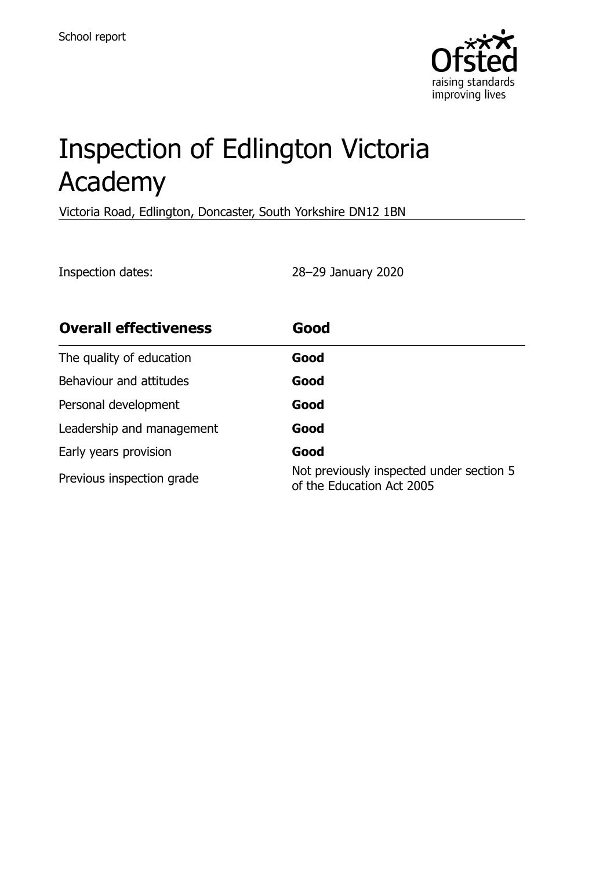

# Inspection of Edlington Victoria Academy

Victoria Road, Edlington, Doncaster, South Yorkshire DN12 1BN

Inspection dates: 28–29 January 2020

| <b>Overall effectiveness</b> | Good                                                                  |
|------------------------------|-----------------------------------------------------------------------|
| The quality of education     | Good                                                                  |
| Behaviour and attitudes      | Good                                                                  |
| Personal development         | Good                                                                  |
| Leadership and management    | Good                                                                  |
| Early years provision        | Good                                                                  |
| Previous inspection grade    | Not previously inspected under section 5<br>of the Education Act 2005 |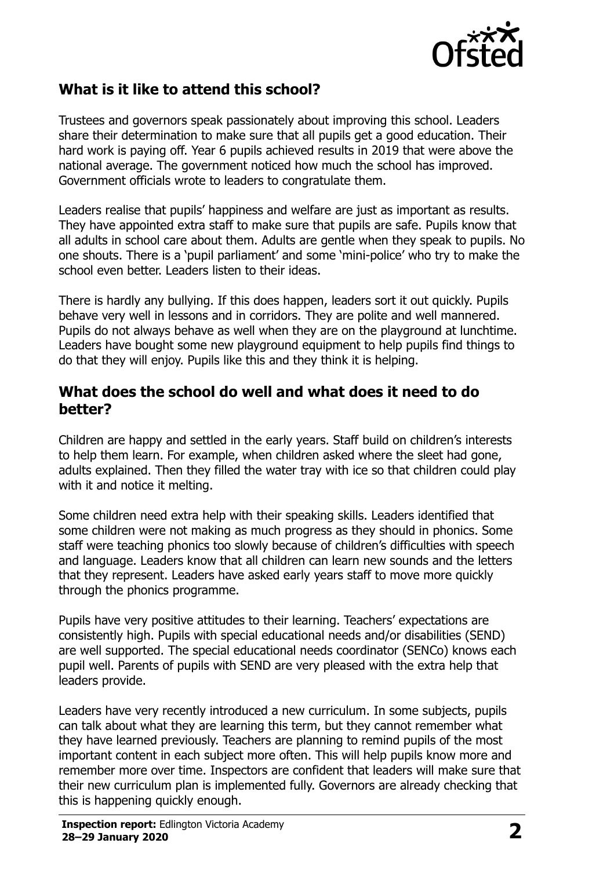

## **What is it like to attend this school?**

Trustees and governors speak passionately about improving this school. Leaders share their determination to make sure that all pupils get a good education. Their hard work is paying off. Year 6 pupils achieved results in 2019 that were above the national average. The government noticed how much the school has improved. Government officials wrote to leaders to congratulate them.

Leaders realise that pupils' happiness and welfare are just as important as results. They have appointed extra staff to make sure that pupils are safe. Pupils know that all adults in school care about them. Adults are gentle when they speak to pupils. No one shouts. There is a 'pupil parliament' and some 'mini-police' who try to make the school even better. Leaders listen to their ideas.

There is hardly any bullying. If this does happen, leaders sort it out quickly. Pupils behave very well in lessons and in corridors. They are polite and well mannered. Pupils do not always behave as well when they are on the playground at lunchtime. Leaders have bought some new playground equipment to help pupils find things to do that they will enjoy. Pupils like this and they think it is helping.

#### **What does the school do well and what does it need to do better?**

Children are happy and settled in the early years. Staff build on children's interests to help them learn. For example, when children asked where the sleet had gone, adults explained. Then they filled the water tray with ice so that children could play with it and notice it melting.

Some children need extra help with their speaking skills. Leaders identified that some children were not making as much progress as they should in phonics. Some staff were teaching phonics too slowly because of children's difficulties with speech and language. Leaders know that all children can learn new sounds and the letters that they represent. Leaders have asked early years staff to move more quickly through the phonics programme.

Pupils have very positive attitudes to their learning. Teachers' expectations are consistently high. Pupils with special educational needs and/or disabilities (SEND) are well supported. The special educational needs coordinator (SENCo) knows each pupil well. Parents of pupils with SEND are very pleased with the extra help that leaders provide.

Leaders have very recently introduced a new curriculum. In some subjects, pupils can talk about what they are learning this term, but they cannot remember what they have learned previously. Teachers are planning to remind pupils of the most important content in each subject more often. This will help pupils know more and remember more over time. Inspectors are confident that leaders will make sure that their new curriculum plan is implemented fully. Governors are already checking that this is happening quickly enough.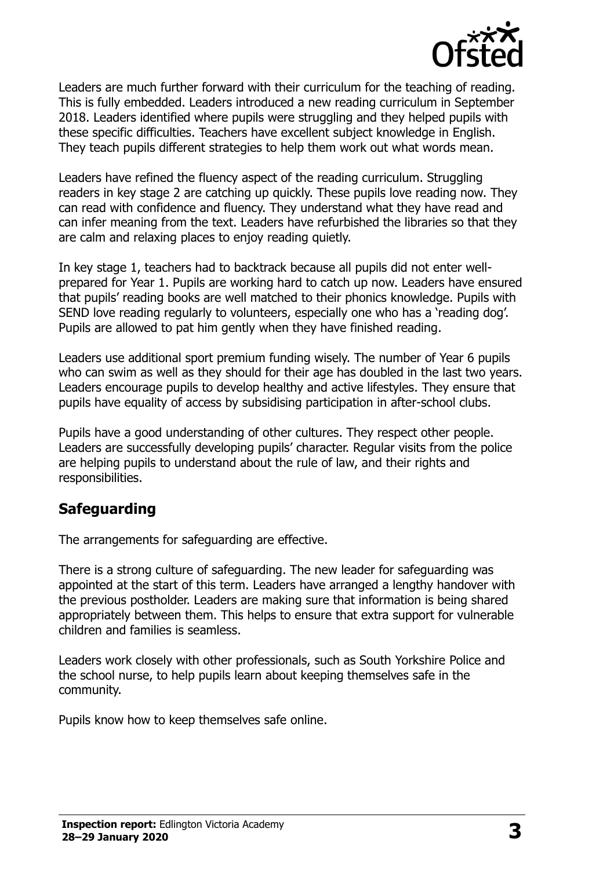

Leaders are much further forward with their curriculum for the teaching of reading. This is fully embedded. Leaders introduced a new reading curriculum in September 2018. Leaders identified where pupils were struggling and they helped pupils with these specific difficulties. Teachers have excellent subject knowledge in English. They teach pupils different strategies to help them work out what words mean.

Leaders have refined the fluency aspect of the reading curriculum. Struggling readers in key stage 2 are catching up quickly. These pupils love reading now. They can read with confidence and fluency. They understand what they have read and can infer meaning from the text. Leaders have refurbished the libraries so that they are calm and relaxing places to enjoy reading quietly.

In key stage 1, teachers had to backtrack because all pupils did not enter wellprepared for Year 1. Pupils are working hard to catch up now. Leaders have ensured that pupils' reading books are well matched to their phonics knowledge. Pupils with SEND love reading regularly to volunteers, especially one who has a 'reading dog'. Pupils are allowed to pat him gently when they have finished reading.

Leaders use additional sport premium funding wisely. The number of Year 6 pupils who can swim as well as they should for their age has doubled in the last two years. Leaders encourage pupils to develop healthy and active lifestyles. They ensure that pupils have equality of access by subsidising participation in after-school clubs.

Pupils have a good understanding of other cultures. They respect other people. Leaders are successfully developing pupils' character. Regular visits from the police are helping pupils to understand about the rule of law, and their rights and responsibilities.

## **Safeguarding**

The arrangements for safeguarding are effective.

There is a strong culture of safeguarding. The new leader for safeguarding was appointed at the start of this term. Leaders have arranged a lengthy handover with the previous postholder. Leaders are making sure that information is being shared appropriately between them. This helps to ensure that extra support for vulnerable children and families is seamless.

Leaders work closely with other professionals, such as South Yorkshire Police and the school nurse, to help pupils learn about keeping themselves safe in the community.

Pupils know how to keep themselves safe online.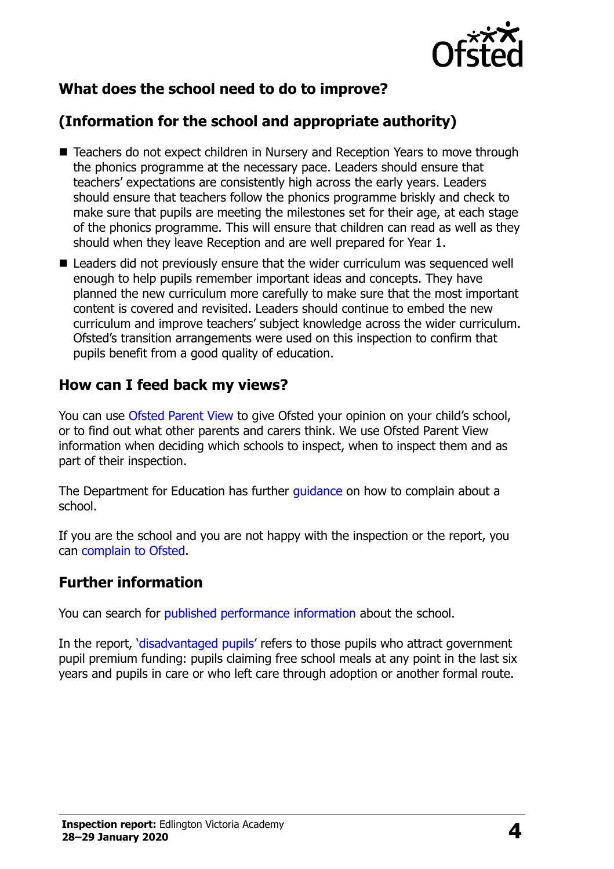

## **What does the school need to do to improve?**

## **(Information for the school and appropriate authority)**

- Teachers do not expect children in Nursery and Reception Years to move through the phonics programme at the necessary pace. Leaders should ensure that teachers' expectations are consistently high across the early years. Leaders should ensure that teachers follow the phonics programme briskly and check to make sure that pupils are meeting the milestones set for their age, at each stage of the phonics programme. This will ensure that children can read as well as they should when they leave Reception and are well prepared for Year 1.
- Leaders did not previously ensure that the wider curriculum was sequenced well enough to help pupils remember important ideas and concepts. They have planned the new curriculum more carefully to make sure that the most important content is covered and revisited. Leaders should continue to embed the new curriculum and improve teachers' subject knowledge across the wider curriculum. Ofsted's transition arrangements were used on this inspection to confirm that pupils benefit from a good quality of education.

### **How can I feed back my views?**

You can use [Ofsted Parent View](http://parentview.ofsted.gov.uk/) to give Ofsted your opinion on your child's school, or to find out what other parents and carers think. We use Ofsted Parent View information when deciding which schools to inspect, when to inspect them and as part of their inspection.

The Department for Education has further quidance on how to complain about a school.

If you are the school and you are not happy with the inspection or the report, you can [complain to Ofsted.](http://www.gov.uk/complain-ofsted-report)

#### **Further information**

You can search for [published performance information](http://www.compare-school-performance.service.gov.uk/) about the school.

In the report, '[disadvantaged pupils](http://www.gov.uk/guidance/pupil-premium-information-for-schools-and-alternative-provision-settings)' refers to those pupils who attract government pupil premium funding: pupils claiming free school meals at any point in the last six years and pupils in care or who left care through adoption or another formal route.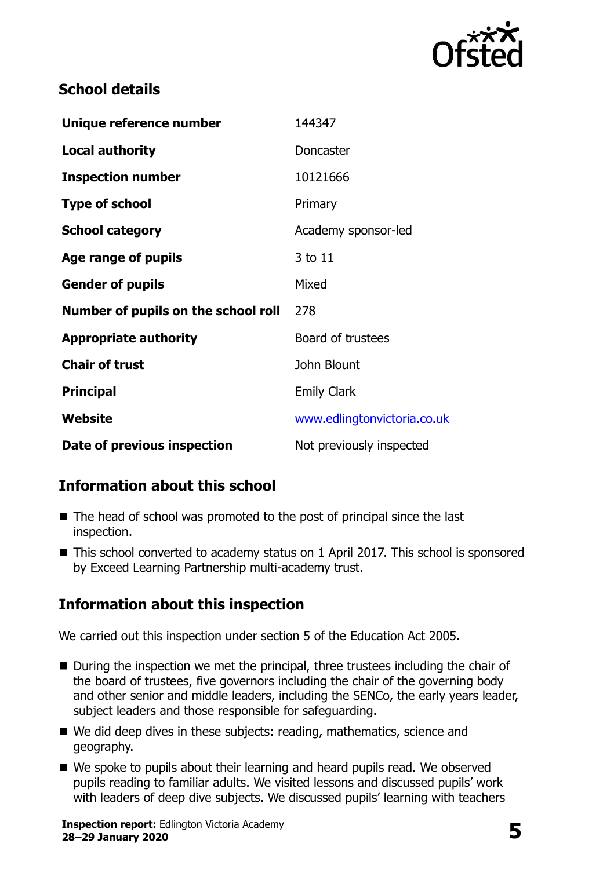

## **School details**

| Unique reference number             | 144347                      |
|-------------------------------------|-----------------------------|
| <b>Local authority</b>              | Doncaster                   |
| <b>Inspection number</b>            | 10121666                    |
| <b>Type of school</b>               | Primary                     |
| <b>School category</b>              | Academy sponsor-led         |
| Age range of pupils                 | 3 to 11                     |
| <b>Gender of pupils</b>             | Mixed                       |
| Number of pupils on the school roll | 278                         |
| <b>Appropriate authority</b>        | Board of trustees           |
| <b>Chair of trust</b>               | John Blount                 |
| <b>Principal</b>                    | <b>Emily Clark</b>          |
| Website                             | www.edlingtonvictoria.co.uk |
| Date of previous inspection         | Not previously inspected    |

## **Information about this school**

- The head of school was promoted to the post of principal since the last inspection.
- This school converted to academy status on 1 April 2017. This school is sponsored by Exceed Learning Partnership multi-academy trust.

## **Information about this inspection**

We carried out this inspection under section 5 of the Education Act 2005.

- During the inspection we met the principal, three trustees including the chair of the board of trustees, five governors including the chair of the governing body and other senior and middle leaders, including the SENCo, the early years leader, subject leaders and those responsible for safeguarding.
- We did deep dives in these subjects: reading, mathematics, science and geography.
- We spoke to pupils about their learning and heard pupils read. We observed pupils reading to familiar adults. We visited lessons and discussed pupils' work with leaders of deep dive subjects. We discussed pupils' learning with teachers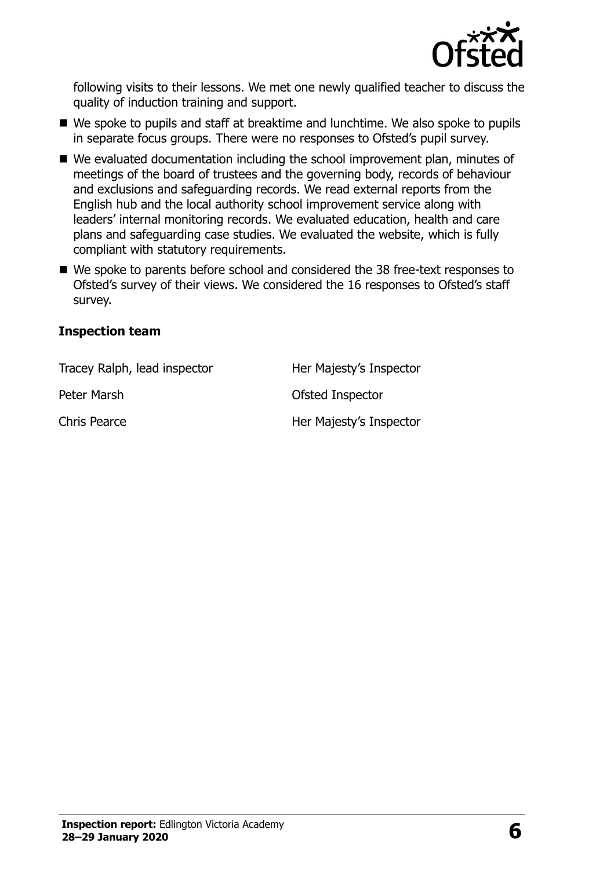

following visits to their lessons. We met one newly qualified teacher to discuss the quality of induction training and support.

- We spoke to pupils and staff at breaktime and lunchtime. We also spoke to pupils in separate focus groups. There were no responses to Ofsted's pupil survey.
- We evaluated documentation including the school improvement plan, minutes of meetings of the board of trustees and the governing body, records of behaviour and exclusions and safeguarding records. We read external reports from the English hub and the local authority school improvement service along with leaders' internal monitoring records. We evaluated education, health and care plans and safeguarding case studies. We evaluated the website, which is fully compliant with statutory requirements.
- We spoke to parents before school and considered the 38 free-text responses to Ofsted's survey of their views. We considered the 16 responses to Ofsted's staff survey.

#### **Inspection team**

| Tracey Ralph, lead inspector | Her Majesty's Inspector |
|------------------------------|-------------------------|
| Peter Marsh                  | Ofsted Inspector        |
| Chris Pearce                 | Her Majesty's Inspector |